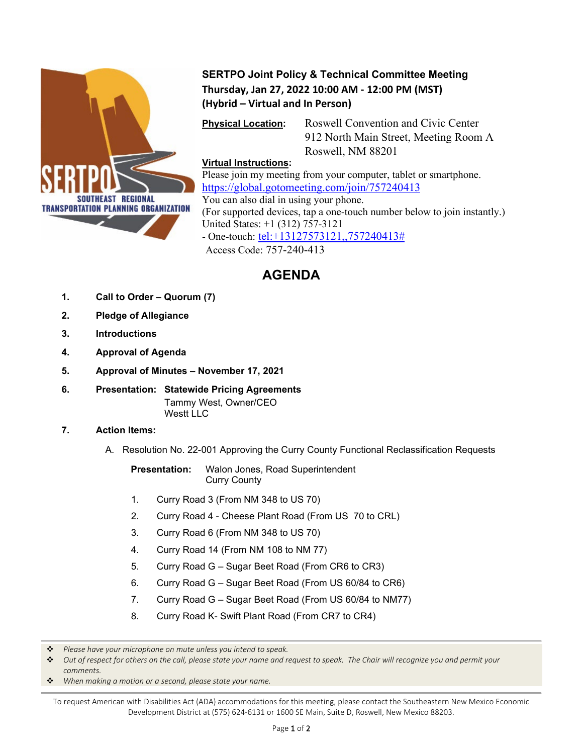

## **SERTPO Joint Policy & Technical Committee Meeting Thursday, Jan 27, 2022 10:00 AM - 12:00 PM (MST) (Hybrid – Virtual and In Person)**

**Physical Location:** Roswell Convention and Civic Center 912 North Main Street, Meeting Room A Roswell, NM 88201

### **Virtual Instructions:**

Please join my meeting from your computer, tablet or smartphone. <https://global.gotomeeting.com/join/757240413> You can also dial in using your phone. (For supported devices, tap a one-touch number below to join instantly.) United States: +1 (312) 757-3121 - One-touch: [tel:+13127573121,,757240413#](tel:+13127573121,,757240413) Access Code: 757-240-413

# **AGENDA**

- **1. Call to Order – Quorum (7)**
- **2. Pledge of Allegiance**
- **3. Introductions**
- **4. Approval of Agenda**
- **5. Approval of Minutes – November 17, 2021**
- **6. Presentation: Statewide Pricing Agreements** Tammy West, Owner/CEO Westt LLC

#### **7. Action Items:**

A. Resolution No. 22-001 Approving the Curry County Functional Reclassification Requests

**Presentation:** Walon Jones, Road Superintendent Curry County

- 1. Curry Road 3 (From NM 348 to US 70)
- 2. Curry Road 4 Cheese Plant Road (From US 70 to CRL)
- 3. Curry Road 6 (From NM 348 to US 70)
- 4. Curry Road 14 (From NM 108 to NM 77)
- 5. Curry Road G Sugar Beet Road (From CR6 to CR3)
- 6. Curry Road G Sugar Beet Road (From US 60/84 to CR6)
- 7. Curry Road G Sugar Beet Road (From US 60/84 to NM77)
- 8. Curry Road K- Swift Plant Road (From CR7 to CR4)

*When making a motion or a second, please state your name.*

To request American with Disabilities Act (ADA) accommodations for this meeting, please contact the Southeastern New Mexico Economic Development District at (575) 624-6131 or 1600 SE Main, Suite D, Roswell, New Mexico 88203.

*Please have your microphone on mute unless you intend to speak.*

*Out of respect for others on the call, please state your name and request to speak. The Chair will recognize you and permit your comments.*